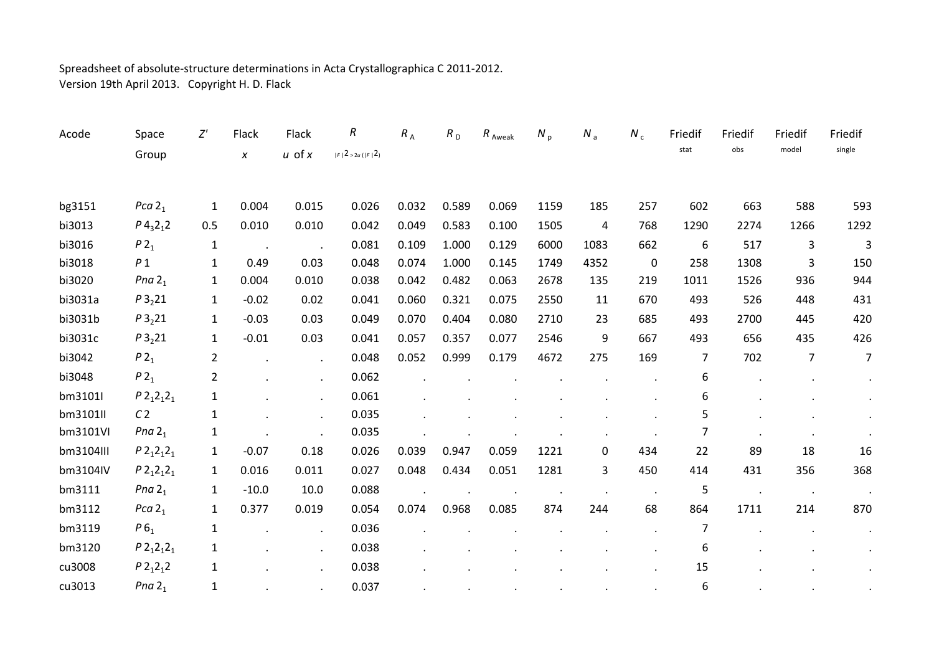## Spreadsheet of absolute‐structure determinations in Acta Crystallographica C 2011‐2012. Version 19th April 2013. Copyright H. D. Flack

| Acode     | Space                               | Z'             | Flack                | Flack                | $\boldsymbol{R}$                         | $R_A$ | R <sub>D</sub> | $R$ Aweak | $N_p$ | $N_a$      | $N_c$          | Friedif          | Friedif | Friedif        | Friedif        |
|-----------|-------------------------------------|----------------|----------------------|----------------------|------------------------------------------|-------|----------------|-----------|-------|------------|----------------|------------------|---------|----------------|----------------|
|           | Group                               |                | $\pmb{\chi}$         | $u$ of $x$           | $ \digamma 2>2u\left( \digamma 2\right)$ |       |                |           |       |            |                | stat             | obs     | model          | single         |
|           |                                     |                |                      |                      |                                          |       |                |           |       |            |                |                  |         |                |                |
| bg3151    | Pca $21$                            | $\mathbf{1}$   | 0.004                | 0.015                | 0.026                                    | 0.032 | 0.589          | 0.069     | 1159  | 185        | 257            | 602              | 663     | 588            | 593            |
| bi3013    | $P$ 4 <sub>3</sub> 2 <sub>1</sub> 2 | 0.5            | 0.010                | 0.010                | 0.042                                    | 0.049 | 0.583          | 0.100     | 1505  | $\sqrt{4}$ | 768            | 1290             | 2274    | 1266           | 1292           |
| bi3016    | $P2_1$                              | $\mathbf{1}$   | $\ddot{\phantom{a}}$ |                      | 0.081                                    | 0.109 | 1.000          | 0.129     | 6000  | 1083       | 662            | $\boldsymbol{6}$ | 517     | 3              | 3              |
| bi3018    | P <sub>1</sub>                      | $\mathbf{1}$   | 0.49                 | 0.03                 | 0.048                                    | 0.074 | 1.000          | 0.145     | 1749  | 4352       | $\mathbf 0$    | 258              | 1308    | 3              | 150            |
| bi3020    | Pna $21$                            | $\mathbf{1}$   | 0.004                | 0.010                | 0.038                                    | 0.042 | 0.482          | 0.063     | 2678  | 135        | 219            | 1011             | 1526    | 936            | 944            |
| bi3031a   | P3 <sub>2</sub> 21                  | $\mathbf{1}$   | $-0.02$              | 0.02                 | 0.041                                    | 0.060 | 0.321          | 0.075     | 2550  | 11         | 670            | 493              | 526     | 448            | 431            |
| bi3031b   | $P3_221$                            | $\mathbf{1}$   | $-0.03$              | 0.03                 | 0.049                                    | 0.070 | 0.404          | 0.080     | 2710  | 23         | 685            | 493              | 2700    | 445            | 420            |
| bi3031c   | P3 <sub>2</sub> 21                  | $\mathbf{1}$   | $-0.01$              | 0.03                 | 0.041                                    | 0.057 | 0.357          | 0.077     | 2546  | 9          | 667            | 493              | 656     | 435            | 426            |
| bi3042    | P2 <sub>1</sub>                     | $\overline{2}$ | $\bullet$            | $\ddot{\phantom{a}}$ | 0.048                                    | 0.052 | 0.999          | 0.179     | 4672  | 275        | 169            | 7                | 702     | 7              | $\overline{7}$ |
| bi3048    | $P2_1$                              | $\overline{2}$ |                      | $\ddot{\phantom{0}}$ | 0.062                                    |       |                |           |       |            |                | 6                |         |                | $\blacksquare$ |
| bm31011   | $P2_12_12_1$                        | 1              |                      | $\ddot{\phantom{a}}$ | 0.061                                    |       |                |           |       |            |                | 6                |         |                |                |
| bm3101II  | C <sub>2</sub>                      | 1              |                      | $\ddot{\phantom{0}}$ | 0.035                                    |       |                |           |       |            |                | 5                |         |                | $\blacksquare$ |
| bm3101VI  | Pna $21$                            | $\mathbf{1}$   |                      |                      | 0.035                                    |       |                |           |       |            |                | 7                |         |                |                |
| bm3104III | $P2_12_12_1$                        | $\mathbf{1}$   | $-0.07$              | 0.18                 | 0.026                                    | 0.039 | 0.947          | 0.059     | 1221  | 0          | 434            | 22               | 89      | 18             | 16             |
| bm3104IV  | $P2_12_12_1$                        | $\mathbf{1}$   | 0.016                | 0.011                | 0.027                                    | 0.048 | 0.434          | 0.051     | 1281  | 3          | 450            | 414              | 431     | 356            | 368            |
| bm3111    | Pna $21$                            | $\mathbf{1}$   | $-10.0$              | 10.0                 | 0.088                                    |       |                |           |       | $\bullet$  | $\blacksquare$ | 5                |         | $\blacksquare$ | $\bullet$      |
| bm3112    | Pca $21$                            | $\mathbf{1}$   | 0.377                | 0.019                | 0.054                                    | 0.074 | 0.968          | 0.085     | 874   | 244        | 68             | 864              | 1711    | 214            | 870            |
| bm3119    | P6 <sub>1</sub>                     | $\mathbf{1}$   |                      | $\cdot$              | 0.036                                    |       |                |           |       |            |                | $\overline{7}$   |         |                | $\bullet$      |
| bm3120    | $P2_12_12_1$                        | 1              |                      | $\blacksquare$       | 0.038                                    |       |                |           |       |            |                | 6                |         |                | $\bullet$      |
| cu3008    | $P2_12_12$                          | $\mathbf{1}$   |                      | $\ddot{\phantom{a}}$ | 0.038                                    |       |                |           |       |            |                | 15               |         |                |                |
| cu3013    | Pna $21$                            | $\mathbf{1}$   |                      |                      | 0.037                                    |       |                |           |       |            |                | 6                |         |                |                |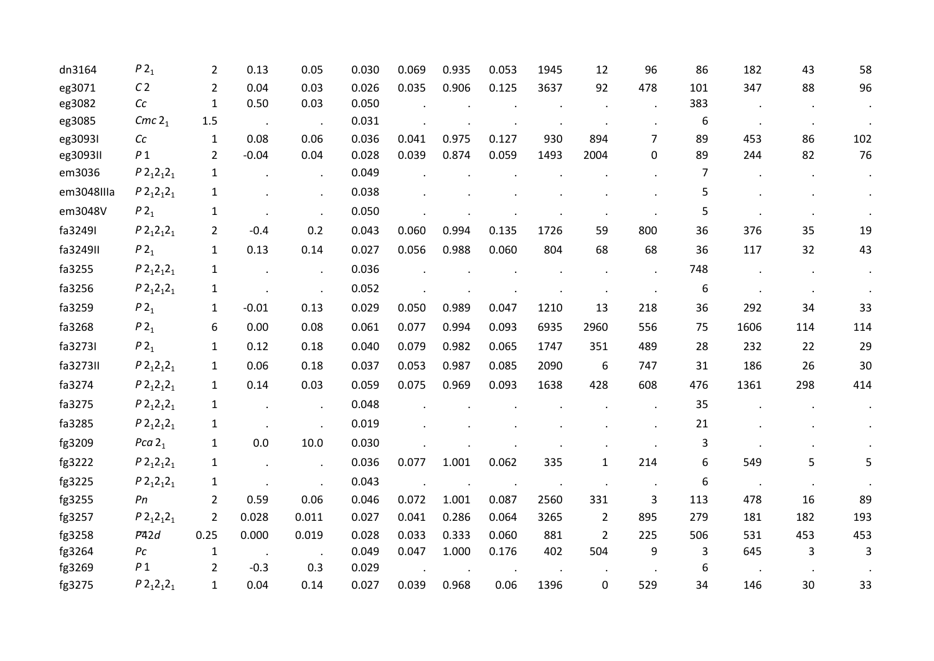| dn3164     | P2 <sub>1</sub>   | $\overline{2}$ | 0.13    | 0.05  | 0.030 | 0.069 | 0.935 | 0.053 | 1945 | 12             | 96             | 86  | 182  | 43  | 58  |
|------------|-------------------|----------------|---------|-------|-------|-------|-------|-------|------|----------------|----------------|-----|------|-----|-----|
| eg3071     | C <sub>2</sub>    | 2              | 0.04    | 0.03  | 0.026 | 0.035 | 0.906 | 0.125 | 3637 | 92             | 478            | 101 | 347  | 88  | 96  |
| eg3082     | Cc                | 1              | 0.50    | 0.03  | 0.050 |       |       |       |      |                |                | 383 |      |     |     |
| eg3085     | Cmc $21$          | 1.5            |         |       | 0.031 |       |       |       |      |                |                | 6   |      |     |     |
| eg3093I    | cc                | $\mathbf{1}$   | 0.08    | 0.06  | 0.036 | 0.041 | 0.975 | 0.127 | 930  | 894            | $\overline{7}$ | 89  | 453  | 86  | 102 |
| eg3093II   | P <sub>1</sub>    | 2              | $-0.04$ | 0.04  | 0.028 | 0.039 | 0.874 | 0.059 | 1493 | 2004           | 0              | 89  | 244  | 82  | 76  |
| em3036     | $P2_12_12_1$      | $\mathbf{1}$   |         |       | 0.049 |       |       |       |      |                |                | 7   |      |     |     |
| em3048IIIa | $P2_12_12_1$      | 1              |         |       | 0.038 |       |       |       |      |                |                | 5   |      |     |     |
| em3048V    | $P2_1$            | $\mathbf{1}$   |         |       | 0.050 |       |       |       |      |                |                | 5   |      |     |     |
| fa3249I    | $P2_12_12_1$      | 2              | $-0.4$  | 0.2   | 0.043 | 0.060 | 0.994 | 0.135 | 1726 | 59             | 800            | 36  | 376  | 35  | 19  |
| fa3249II   | P2 <sub>1</sub>   | $\mathbf{1}$   | 0.13    | 0.14  | 0.027 | 0.056 | 0.988 | 0.060 | 804  | 68             | 68             | 36  | 117  | 32  | 43  |
| fa3255     | $P2_12_12_1$      | 1              |         |       | 0.036 |       |       |       |      |                |                | 748 |      |     |     |
| fa3256     | $P2_12_12_1$      | 1              |         |       | 0.052 |       |       |       |      |                |                | 6   |      |     |     |
| fa3259     | P2 <sub>1</sub>   | 1              | $-0.01$ | 0.13  | 0.029 | 0.050 | 0.989 | 0.047 | 1210 | 13             | 218            | 36  | 292  | 34  | 33  |
| fa3268     | $P2_1$            | 6              | 0.00    | 0.08  | 0.061 | 0.077 | 0.994 | 0.093 | 6935 | 2960           | 556            | 75  | 1606 | 114 | 114 |
| fa3273I    | P2 <sub>1</sub>   | $\mathbf{1}$   | 0.12    | 0.18  | 0.040 | 0.079 | 0.982 | 0.065 | 1747 | 351            | 489            | 28  | 232  | 22  | 29  |
| fa3273II   | $P2_12_12_1$      | $\mathbf{1}$   | 0.06    | 0.18  | 0.037 | 0.053 | 0.987 | 0.085 | 2090 | 6              | 747            | 31  | 186  | 26  | 30  |
| fa3274     | $P2_12_12_1$      | 1              | 0.14    | 0.03  | 0.059 | 0.075 | 0.969 | 0.093 | 1638 | 428            | 608            | 476 | 1361 | 298 | 414 |
| fa3275     | $P2_12_12_1$      | $\mathbf{1}$   |         |       | 0.048 |       |       |       |      |                |                | 35  |      |     |     |
| fa3285     | $P2_12_12_1$      | $\mathbf{1}$   |         |       | 0.019 |       |       |       |      |                |                | 21  |      |     |     |
| fg3209     | Pca $21$          | 1              | 0.0     | 10.0  | 0.030 |       |       |       |      |                |                | 3   |      |     |     |
| fg3222     | $P2_12_12_1$      | $\mathbf{1}$   |         |       | 0.036 | 0.077 | 1.001 | 0.062 | 335  | $\mathbf{1}$   | 214            | 6   | 549  | 5.  | 5   |
| fg3225     | $P2_12_12_1$      | 1              |         |       | 0.043 |       |       |       |      |                |                | 6   |      |     |     |
| fg3255     | Pn                | $\overline{2}$ | 0.59    | 0.06  | 0.046 | 0.072 | 1.001 | 0.087 | 2560 | 331            | 3              | 113 | 478  | 16  | 89  |
| fg3257     | $P2_12_12_1$      | $\overline{2}$ | 0.028   | 0.011 | 0.027 | 0.041 | 0.286 | 0.064 | 3265 | $\overline{2}$ | 895            | 279 | 181  | 182 | 193 |
| fg3258     | P42d              | 0.25           | 0.000   | 0.019 | 0.028 | 0.033 | 0.333 | 0.060 | 881  | $\overline{2}$ | 225            | 506 | 531  | 453 | 453 |
| fg3264     | $P_{\mathcal{C}}$ | $\mathbf{1}$   |         |       | 0.049 | 0.047 | 1.000 | 0.176 | 402  | 504            | 9              | 3   | 645  | 3   | 3   |
| fg3269     | P <sub>1</sub>    | 2              | $-0.3$  | 0.3   | 0.029 |       |       |       |      |                |                | 6   |      |     |     |
| fg3275     | $P2_12_12_1$      | 1              | 0.04    | 0.14  | 0.027 | 0.039 | 0.968 | 0.06  | 1396 | 0              | 529            | 34  | 146  | 30  | 33  |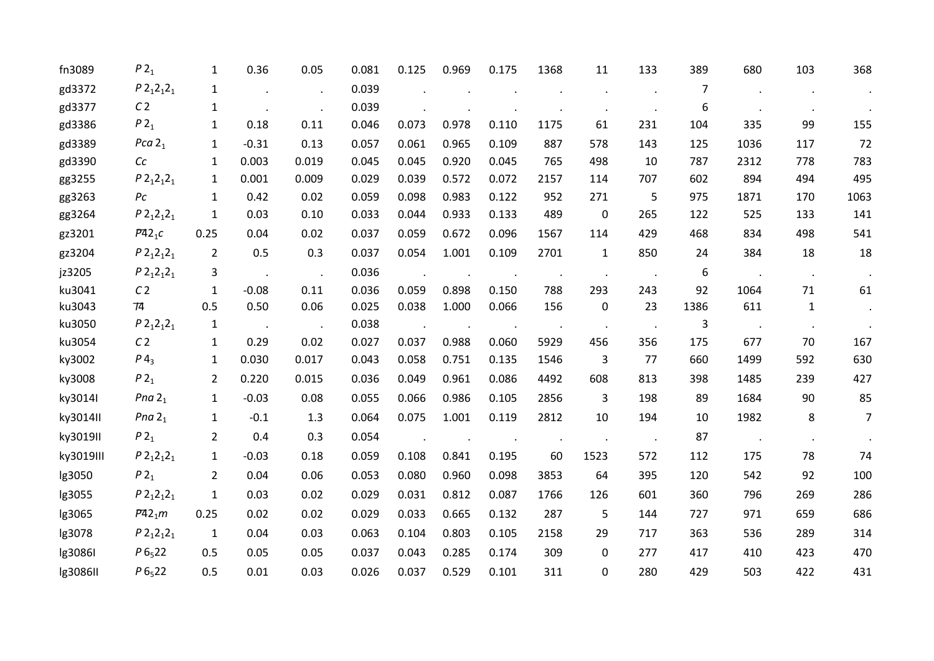| fn3089    | P2 <sub>1</sub>   | 1              | 0.36                 | 0.05  | 0.081 | 0.125 | 0.969 | 0.175 | 1368 | 11           | 133 | 389            | 680  | 103           | 368                         |
|-----------|-------------------|----------------|----------------------|-------|-------|-------|-------|-------|------|--------------|-----|----------------|------|---------------|-----------------------------|
| gd3372    | $P 212121$        | 1              |                      |       | 0.039 |       |       |       |      |              |     | $\overline{7}$ |      |               |                             |
| gd3377    | C <sub>2</sub>    | $\mathbf{1}$   |                      |       | 0.039 |       |       |       |      |              |     | 6              |      |               |                             |
| gd3386    | $P2_1$            | 1              | 0.18                 | 0.11  | 0.046 | 0.073 | 0.978 | 0.110 | 1175 | 61           | 231 | 104            | 335  | 99            | 155                         |
| gd3389    | Pca $21$          | 1              | $-0.31$              | 0.13  | 0.057 | 0.061 | 0.965 | 0.109 | 887  | 578          | 143 | 125            | 1036 | 117           | 72                          |
| gd3390    | cc                | 1              | 0.003                | 0.019 | 0.045 | 0.045 | 0.920 | 0.045 | 765  | 498          | 10  | 787            | 2312 | 778           | 783                         |
| gg3255    | $P2_12_12_1$      | 1              | 0.001                | 0.009 | 0.029 | 0.039 | 0.572 | 0.072 | 2157 | 114          | 707 | 602            | 894  | 494           | 495                         |
| gg3263    | $P_{\mathcal{C}}$ | $\mathbf{1}$   | 0.42                 | 0.02  | 0.059 | 0.098 | 0.983 | 0.122 | 952  | 271          | 5   | 975            | 1871 | 170           | 1063                        |
| gg3264    | $P2_12_12_1$      | $\mathbf{1}$   | 0.03                 | 0.10  | 0.033 | 0.044 | 0.933 | 0.133 | 489  | 0            | 265 | 122            | 525  | 133           | 141                         |
| gz3201    | $P42_1c$          | 0.25           | 0.04                 | 0.02  | 0.037 | 0.059 | 0.672 | 0.096 | 1567 | 114          | 429 | 468            | 834  | 498           | 541                         |
| gz3204    | $P2_12_12_1$      | $\overline{2}$ | 0.5                  | 0.3   | 0.037 | 0.054 | 1.001 | 0.109 | 2701 | $\mathbf{1}$ | 850 | 24             | 384  | 18            | 18                          |
| jz3205    | $P 212121$        | 3              | $\ddot{\phantom{a}}$ |       | 0.036 |       |       |       |      |              |     | 6              |      | $\sim$ $\sim$ | $\sim$                      |
| ku3041    | C <sub>2</sub>    | 1              | $-0.08$              | 0.11  | 0.036 | 0.059 | 0.898 | 0.150 | 788  | 293          | 243 | 92             | 1064 | 71            | 61                          |
| ku3043    | 74                | 0.5            | 0.50                 | 0.06  | 0.025 | 0.038 | 1.000 | 0.066 | 156  | 0            | 23  | 1386           | 611  | $\mathbf{1}$  | $\mathcal{A}^{\mathcal{A}}$ |
| ku3050    | $P 212121$        | $\mathbf{1}$   | $\sim 100$           |       | 0.038 |       |       |       |      |              |     | 3              |      |               |                             |
| ku3054    | C <sub>2</sub>    | $\mathbf{1}$   | 0.29                 | 0.02  | 0.027 | 0.037 | 0.988 | 0.060 | 5929 | 456          | 356 | 175            | 677  | 70            | 167                         |
| ky3002    | $P_4$             | 1              | 0.030                | 0.017 | 0.043 | 0.058 | 0.751 | 0.135 | 1546 | 3            | 77  | 660            | 1499 | 592           | 630                         |
| ky3008    | $P2_1$            | $\overline{2}$ | 0.220                | 0.015 | 0.036 | 0.049 | 0.961 | 0.086 | 4492 | 608          | 813 | 398            | 1485 | 239           | 427                         |
| ky3014I   | Pna $21$          | $\mathbf{1}$   | $-0.03$              | 0.08  | 0.055 | 0.066 | 0.986 | 0.105 | 2856 | 3            | 198 | 89             | 1684 | 90            | 85                          |
| ky3014II  | Pna $21$          | 1              | $-0.1$               | 1.3   | 0.064 | 0.075 | 1.001 | 0.119 | 2812 | 10           | 194 | 10             | 1982 | 8             | $\overline{7}$              |
| ky3019II  | P2 <sub>1</sub>   | $\overline{2}$ | 0.4                  | 0.3   | 0.054 |       |       |       |      |              |     | 87             |      |               | $\sim$                      |
| ky3019III | $P2_12_12_1$      | 1              | $-0.03$              | 0.18  | 0.059 | 0.108 | 0.841 | 0.195 | 60   | 1523         | 572 | 112            | 175  | 78            | 74                          |
| lg3050    | $P2_1$            | $\overline{2}$ | 0.04                 | 0.06  | 0.053 | 0.080 | 0.960 | 0.098 | 3853 | 64           | 395 | 120            | 542  | 92            | 100                         |
| lg3055    | $P2_12_12_1$      | $\mathbf{1}$   | 0.03                 | 0.02  | 0.029 | 0.031 | 0.812 | 0.087 | 1766 | 126          | 601 | 360            | 796  | 269           | 286                         |
| lg3065    | $P42_1m$          | 0.25           | 0.02                 | 0.02  | 0.029 | 0.033 | 0.665 | 0.132 | 287  | 5            | 144 | 727            | 971  | 659           | 686                         |
| lg3078    | $P 212121$        | $\mathbf{1}$   | 0.04                 | 0.03  | 0.063 | 0.104 | 0.803 | 0.105 | 2158 | 29           | 717 | 363            | 536  | 289           | 314                         |
| lg3086I   | $P6_{5}22$        | 0.5            | 0.05                 | 0.05  | 0.037 | 0.043 | 0.285 | 0.174 | 309  | 0            | 277 | 417            | 410  | 423           | 470                         |
| lg3086II  | $P6_{5}22$        | 0.5            | 0.01                 | 0.03  | 0.026 | 0.037 | 0.529 | 0.101 | 311  | 0            | 280 | 429            | 503  | 422           | 431                         |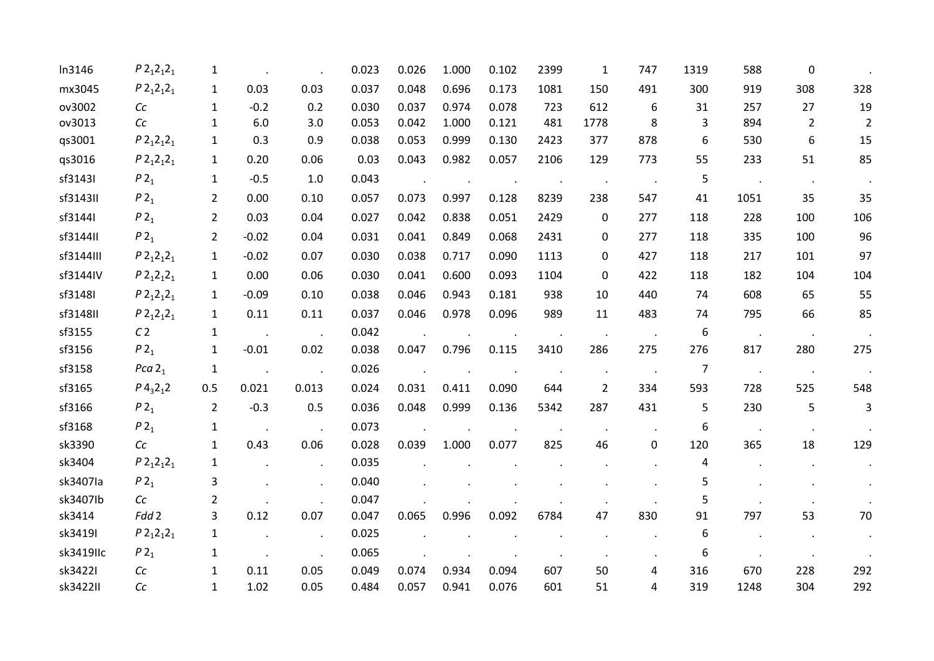| In3146    | $P2_12_12_1$                        | 1              |         |       | 0.023 | 0.026 | 1.000 | 0.102 | 2399 | $\mathbf{1}$   | 747       | 1319           | 588  | $\Omega$       |                |
|-----------|-------------------------------------|----------------|---------|-------|-------|-------|-------|-------|------|----------------|-----------|----------------|------|----------------|----------------|
| mx3045    | $P 212121$                          | $\mathbf{1}$   | 0.03    | 0.03  | 0.037 | 0.048 | 0.696 | 0.173 | 1081 | 150            | 491       | 300            | 919  | 308            | 328            |
| ov3002    | Cc                                  | 1              | $-0.2$  | 0.2   | 0.030 | 0.037 | 0.974 | 0.078 | 723  | 612            | 6         | 31             | 257  | 27             | 19             |
| ov3013    | Cc                                  | 1              | 6.0     | 3.0   | 0.053 | 0.042 | 1.000 | 0.121 | 481  | 1778           | 8         | 3              | 894  | $\overline{2}$ | $\overline{2}$ |
| qs3001    | $P2_12_12_1$                        | 1              | 0.3     | 0.9   | 0.038 | 0.053 | 0.999 | 0.130 | 2423 | 377            | 878       | 6              | 530  | 6              | 15             |
| qs3016    | $P2_12_12_1$                        | $\mathbf{1}$   | 0.20    | 0.06  | 0.03  | 0.043 | 0.982 | 0.057 | 2106 | 129            | 773       | 55             | 233  | 51             | 85             |
| sf3143I   | P2 <sub>1</sub>                     | $\mathbf{1}$   | $-0.5$  | 1.0   | 0.043 |       |       |       |      |                |           | 5              |      |                |                |
| sf3143II  | P2 <sub>1</sub>                     | $\overline{2}$ | 0.00    | 0.10  | 0.057 | 0.073 | 0.997 | 0.128 | 8239 | 238            | 547       | 41             | 1051 | 35             | 35             |
| sf3144I   | $P2_1$                              | 2              | 0.03    | 0.04  | 0.027 | 0.042 | 0.838 | 0.051 | 2429 | 0              | 277       | 118            | 228  | 100            | 106            |
| sf3144II  | P2 <sub>1</sub>                     | 2              | $-0.02$ | 0.04  | 0.031 | 0.041 | 0.849 | 0.068 | 2431 | 0              | 277       | 118            | 335  | 100            | 96             |
| sf3144III | $P2_12_12_1$                        | $\mathbf{1}$   | $-0.02$ | 0.07  | 0.030 | 0.038 | 0.717 | 0.090 | 1113 | 0              | 427       | 118            | 217  | 101            | 97             |
| sf3144IV  | $P2_12_12_1$                        | $\mathbf{1}$   | 0.00    | 0.06  | 0.030 | 0.041 | 0.600 | 0.093 | 1104 | 0              | 422       | 118            | 182  | 104            | 104            |
| sf3148I   | $P2_12_12_1$                        | $\mathbf{1}$   | $-0.09$ | 0.10  | 0.038 | 0.046 | 0.943 | 0.181 | 938  | 10             | 440       | 74             | 608  | 65             | 55             |
| sf3148II  | $P2_12_12_1$                        | $\mathbf{1}$   | 0.11    | 0.11  | 0.037 | 0.046 | 0.978 | 0.096 | 989  | 11             | 483       | 74             | 795  | 66             | 85             |
| sf3155    | C <sub>2</sub>                      | 1              |         |       | 0.042 |       |       |       |      |                |           | 6              |      |                |                |
| sf3156    | P2 <sub>1</sub>                     | 1              | $-0.01$ | 0.02  | 0.038 | 0.047 | 0.796 | 0.115 | 3410 | 286            | 275       | 276            | 817  | 280            | 275            |
| sf3158    | Pca $21$                            | 1              |         |       | 0.026 |       |       |       |      |                |           | $\overline{7}$ |      |                |                |
| sf3165    | $P$ 4 <sub>3</sub> 2 <sub>1</sub> 2 | 0.5            | 0.021   | 0.013 | 0.024 | 0.031 | 0.411 | 0.090 | 644  | $\overline{2}$ | 334       | 593            | 728  | 525            | 548            |
| sf3166    | P2 <sub>1</sub>                     | $\overline{2}$ | $-0.3$  | 0.5   | 0.036 | 0.048 | 0.999 | 0.136 | 5342 | 287            | 431       | 5              | 230  | 5              | 3              |
| sf3168    | P2 <sub>1</sub>                     | $\mathbf{1}$   |         |       | 0.073 |       |       |       |      |                |           | 6              |      |                |                |
| sk3390    | Cc                                  | $\mathbf{1}$   | 0.43    | 0.06  | 0.028 | 0.039 | 1.000 | 0.077 | 825  | 46             | $\pmb{0}$ | 120            | 365  | 18             | 129            |
| sk3404    | $P2_12_12_1$                        | 1              |         |       | 0.035 |       |       |       |      |                |           | 4              |      |                |                |
| sk3407la  | P2 <sub>1</sub>                     | 3              |         |       | 0.040 |       |       |       |      |                |           | 5              |      |                |                |
| sk3407lb  | Cc                                  | 2              |         |       | 0.047 |       |       |       |      |                |           | 5              |      |                |                |
| sk3414    | Fdd 2                               | 3              | 0.12    | 0.07  | 0.047 | 0.065 | 0.996 | 0.092 | 6784 | 47             | 830       | 91             | 797  | 53             | 70             |
| sk3419I   | $P2_12_12_1$                        | 1              |         |       | 0.025 |       |       |       |      |                |           | 6              |      |                |                |
| sk3419llc | P2 <sub>1</sub>                     | 1              |         |       | 0.065 |       |       |       |      |                |           | 6              |      |                |                |
| sk34221   | Cc                                  | 1              | 0.11    | 0.05  | 0.049 | 0.074 | 0.934 | 0.094 | 607  | 50             | 4         | 316            | 670  | 228            | 292            |
| sk3422II  | Cc                                  | $\mathbf{1}$   | 1.02    | 0.05  | 0.484 | 0.057 | 0.941 | 0.076 | 601  | 51             | 4         | 319            | 1248 | 304            | 292            |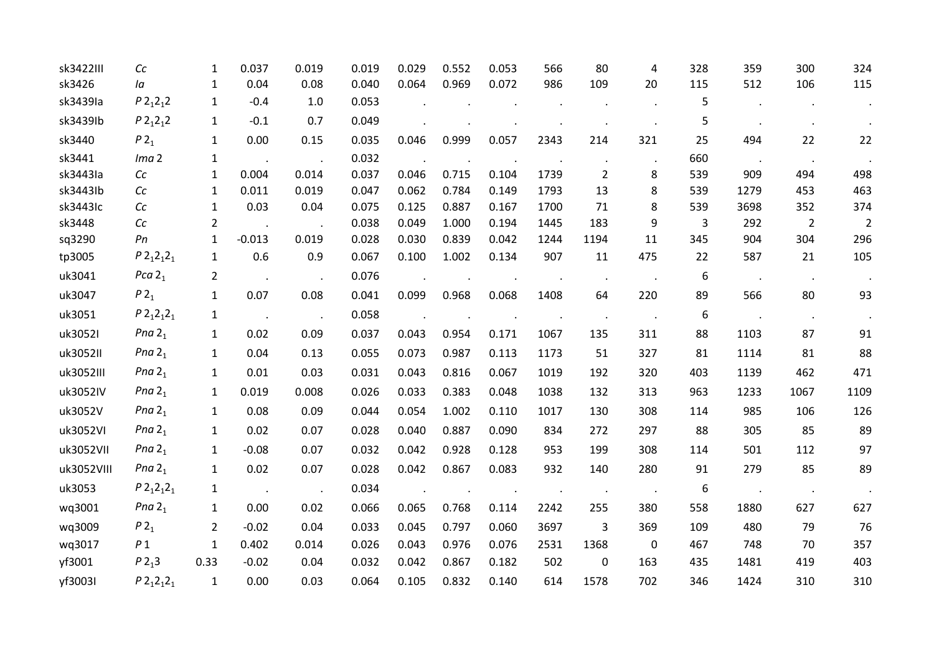| sk3422III  | C <sub>C</sub>   | 1              | 0.037                | 0.019 | 0.019 | 0.029 | 0.552 | 0.053 | 566  | 80             | 4                | 328 | 359           | 300            | 324            |
|------------|------------------|----------------|----------------------|-------|-------|-------|-------|-------|------|----------------|------------------|-----|---------------|----------------|----------------|
| sk3426     | la               | 1              | 0.04                 | 0.08  | 0.040 | 0.064 | 0.969 | 0.072 | 986  | 109            | 20               | 115 | 512           | 106            | 115            |
| sk3439Ia   | $P2_12_12$       | 1              | $-0.4$               | 1.0   | 0.053 |       |       |       |      |                |                  | 5   |               |                |                |
| sk3439lb   | $P2_12_12$       | 1              | $-0.1$               | 0.7   | 0.049 |       |       |       |      |                |                  | 5   |               |                |                |
| sk3440     | P2 <sub>1</sub>  | $\mathbf{1}$   | 0.00                 | 0.15  | 0.035 | 0.046 | 0.999 | 0.057 | 2343 | 214            | 321              | 25  | 494           | 22             | 22             |
| sk3441     | Ima <sub>2</sub> | $\mathbf{1}$   | $\ddot{\phantom{a}}$ |       | 0.032 |       |       |       |      | $\bullet$      |                  | 660 | $\sim$        | $\sim$ $\sim$  | $\blacksquare$ |
| sk3443Ia   | cc               | 1              | 0.004                | 0.014 | 0.037 | 0.046 | 0.715 | 0.104 | 1739 | $\overline{2}$ | 8                | 539 | 909           | 494            | 498            |
| sk3443lb   | cc               | 1              | 0.011                | 0.019 | 0.047 | 0.062 | 0.784 | 0.149 | 1793 | 13             | 8                | 539 | 1279          | 453            | 463            |
| sk3443Ic   | Cc               | $\mathbf{1}$   | 0.03                 | 0.04  | 0.075 | 0.125 | 0.887 | 0.167 | 1700 | 71             | 8                | 539 | 3698          | 352            | 374            |
| sk3448     | cc               | 2              |                      |       | 0.038 | 0.049 | 1.000 | 0.194 | 1445 | 183            | 9                | 3   | 292           | $\overline{2}$ | $\overline{2}$ |
| sq3290     | Pn               | 1              | $-0.013$             | 0.019 | 0.028 | 0.030 | 0.839 | 0.042 | 1244 | 1194           | 11               | 345 | 904           | 304            | 296            |
| tp3005     | $P2_12_12_1$     | 1              | 0.6                  | 0.9   | 0.067 | 0.100 | 1.002 | 0.134 | 907  | 11             | 475              | 22  | 587           | 21             | 105            |
| uk3041     | Pca $21$         | $\overline{2}$ | $\ddot{\phantom{a}}$ |       | 0.076 |       |       |       |      |                |                  | 6   | $\sim$ $\sim$ | $\sim$         |                |
| uk3047     | $P2_1$           | $\mathbf{1}$   | 0.07                 | 0.08  | 0.041 | 0.099 | 0.968 | 0.068 | 1408 | 64             | 220              | 89  | 566           | 80             | 93             |
| uk3051     | $P 212121$       | 1              |                      |       | 0.058 |       |       |       |      |                |                  | 6   |               | $\sim$         |                |
| uk3052I    | Pna $21$         | $\mathbf{1}$   | 0.02                 | 0.09  | 0.037 | 0.043 | 0.954 | 0.171 | 1067 | 135            | 311              | 88  | 1103          | 87             | 91             |
| uk3052II   | Pna $21$         | 1              | 0.04                 | 0.13  | 0.055 | 0.073 | 0.987 | 0.113 | 1173 | 51             | 327              | 81  | 1114          | 81             | 88             |
| uk3052III  | Pna $21$         | $\mathbf{1}$   | 0.01                 | 0.03  | 0.031 | 0.043 | 0.816 | 0.067 | 1019 | 192            | 320              | 403 | 1139          | 462            | 471            |
| uk3052IV   | Pna $21$         | 1              | 0.019                | 0.008 | 0.026 | 0.033 | 0.383 | 0.048 | 1038 | 132            | 313              | 963 | 1233          | 1067           | 1109           |
| uk3052V    | Pna $21$         | $\mathbf{1}$   | 0.08                 | 0.09  | 0.044 | 0.054 | 1.002 | 0.110 | 1017 | 130            | 308              | 114 | 985           | 106            | 126            |
| uk3052VI   | Pna $21$         | $\mathbf{1}$   | 0.02                 | 0.07  | 0.028 | 0.040 | 0.887 | 0.090 | 834  | 272            | 297              | 88  | 305           | 85             | 89             |
| uk3052VII  | Pna $21$         | $\mathbf{1}$   | $-0.08$              | 0.07  | 0.032 | 0.042 | 0.928 | 0.128 | 953  | 199            | 308              | 114 | 501           | 112            | 97             |
| uk3052VIII | Pna $21$         | 1              | 0.02                 | 0.07  | 0.028 | 0.042 | 0.867 | 0.083 | 932  | 140            | 280              | 91  | 279           | 85             | 89             |
| uk3053     | $P2_12_12_1$     | $\mathbf{1}$   |                      |       | 0.034 |       |       |       |      |                |                  | 6   |               |                |                |
| wq3001     | Pna $21$         | $\mathbf{1}$   | 0.00                 | 0.02  | 0.066 | 0.065 | 0.768 | 0.114 | 2242 | 255            | 380              | 558 | 1880          | 627            | 627            |
| wq3009     | P2 <sub>1</sub>  | 2              | $-0.02$              | 0.04  | 0.033 | 0.045 | 0.797 | 0.060 | 3697 | 3              | 369              | 109 | 480           | 79             | 76             |
| wq3017     | P <sub>1</sub>   | $\mathbf{1}$   | 0.402                | 0.014 | 0.026 | 0.043 | 0.976 | 0.076 | 2531 | 1368           | $\boldsymbol{0}$ | 467 | 748           | 70             | 357            |
| yf3001     | $P2_13$          | 0.33           | $-0.02$              | 0.04  | 0.032 | 0.042 | 0.867 | 0.182 | 502  | 0              | 163              | 435 | 1481          | 419            | 403            |
| yf3003I    | $P2_12_12_1$     | $\mathbf{1}$   | 0.00                 | 0.03  | 0.064 | 0.105 | 0.832 | 0.140 | 614  | 1578           | 702              | 346 | 1424          | 310            | 310            |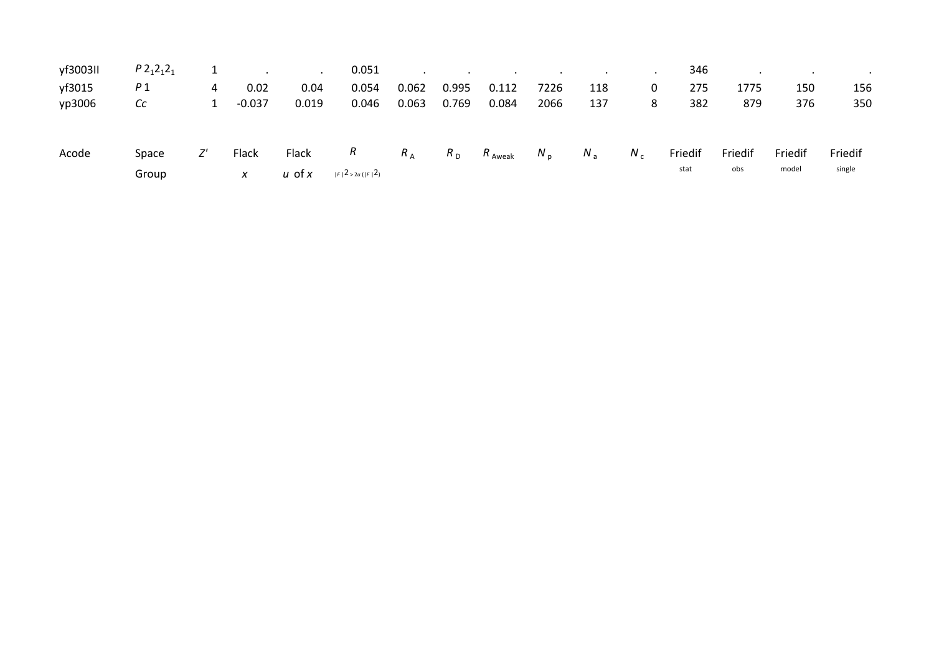| yf3003II | $P2_12_12_1$   |   |            | $\bullet$       | 0.051                             | $\cdot$     |                |           | $\cdot$ | $\cdot$ | $\cdot$ . | 346             |                |                  |                   |
|----------|----------------|---|------------|-----------------|-----------------------------------|-------------|----------------|-----------|---------|---------|-----------|-----------------|----------------|------------------|-------------------|
| yf3015   | P1             | 4 | 0.02       | 0.04            | 0.054                             | 0.062       | 0.995          | 0.112     | 7226    | 118     | 0         | 275             | 1775           | 150              | 156               |
| yp3006   | Сc             |   | $-0.037$   | 0.019           | 0.046                             | 0.063       | 0.769          | 0.084     | 2066    | 137     | 8         | 382             | 879            | 376              | 350               |
| Acode    | Space<br>Group |   | Flack<br>x | Flack<br>u ot x | R<br>$ F ^{2}$ > 2u ( $ F ^{2}$ ) | $R_{\rm A}$ | $R_{\text{D}}$ | $R$ Aweak | $N_{p}$ | $N_a$   | $N_c$     | Friedif<br>stat | Friedif<br>obs | Friedif<br>model | Friedif<br>single |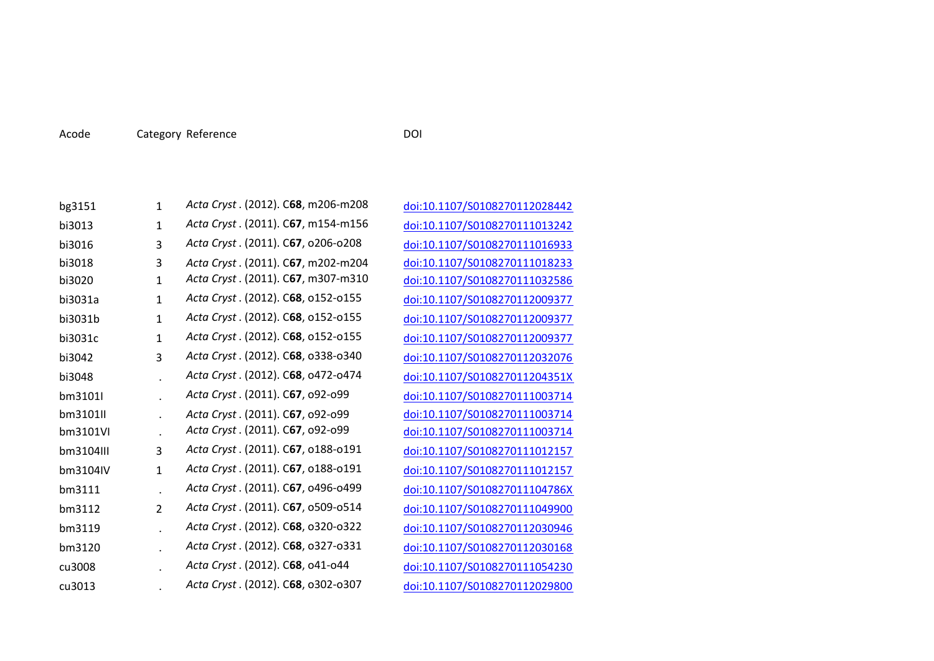| Acode | Category Reference | DOI |
|-------|--------------------|-----|
|       |                    |     |

| bg3151    | 1            | Acta Cryst . (2012). C68, m206-m208 |
|-----------|--------------|-------------------------------------|
| bi3013    | 1            | Acta Cryst. (2011). C67, m154-m156  |
| bi3016    | 3            | Acta Cryst. (2011). C67, o206-o208  |
| bi3018    | 3            | Acta Cryst. (2011). C67, m202-m204  |
| bi3020    | $\mathbf{1}$ | Acta Cryst. (2011). C67, m307-m310  |
| bi3031a   | $\mathbf{1}$ | Acta Cryst. (2012). C68, o152-o155  |
| bi3031b   | $\mathbf{1}$ | Acta Cryst. (2012). C68, o152-o155  |
| bi3031c   | $\mathbf{1}$ | Acta Cryst. (2012). C68, o152-o155  |
| bi3042    | 3            | Acta Cryst. (2012). C68, 0338-0340  |
| bi3048    |              | Acta Cryst. (2012). C68, 0472-0474  |
| bm3101l   |              | Acta Cryst. (2011). C67, 092-099    |
| bm3101II  |              | Acta Cryst. (2011). C67, 092-099    |
| bm3101VI  |              | Acta Cryst . (2011). C67, 092-099   |
| bm3104III | 3            | Acta Cryst. (2011). C67, 0188-0191  |
| bm3104IV  | $\mathbf{1}$ | Acta Cryst. (2011). C67, 0188-0191  |
| bm3111    |              | Acta Cryst. (2011). C67, 0496-0499  |
| bm3112    | 2            | Acta Cryst. (2011). C67, o509-o514  |
| bm3119    |              | Acta Cryst. (2012). C68, 0320-0322  |
| bm3120    |              | Acta Cryst. (2012). C68, 0327-0331  |
| cu3008    |              | Acta Cryst. (2012). C68, 041-044    |
| cu3013    |              | Acta Cryst. (2012). C68, o302-o307  |

<sup>C</sup>**68**, m206‐m208 doi:10.1107/S0108270112028442 <sup>C</sup>**67**, m154‐m156 doi:10.1107/S0108270111013242 <sup>C</sup>**67**, o206‐o208 doi:10.1107/S0108270111016933 C**67**, m202‐m204 doi:10.1107/S0108270111018233 0<sub>doi:10.1107/S0108270111032586</sub> <sup>C</sup>**68**, o152‐o155 doi:10.1107/S0108270112009377 <sup>C</sup>**68**, o152‐o155 doi:10.1107/S0108270112009377 <sup>C</sup>**68**, o152‐o155 doi:10.1107/S0108270112009377 <sup>C</sup>**68**, o338‐o340 doi:10.1107/S0108270112032076 <sup>C</sup>**68**, o472‐o474 doi:10.1107/S010827011204351X <sup>C</sup>**67**, o92‐o99 doi:10.1107/S0108270111003714 C**67**, o92‐o99 doi:10.1107/S0108270111003714 <sup>C</sup>**67**, o92‐o99 doi:10.1107/S0108270111003714 <sup>C</sup>**67**, o188‐o191 doi:10.1107/S0108270111012157 <sup>C</sup>**67**, o188‐o191 doi:10.1107/S0108270111012157 <sup>C</sup>**67**, o496‐o499 doi:10.1107/S010827011104786X <sup>C</sup>**67**, o509‐o514 doi:10.1107/S0108270111049900 <sup>C</sup>**68**, o320‐o322 doi:10.1107/S0108270112030946 <sup>C</sup>**68**, o327‐o331 doi:10.1107/S0108270112030168 <sup>C</sup>**68**, o41‐o44 doi:10.1107/S0108270111054230 <sup>C</sup>**68**, o302‐o307 doi:10.1107/S0108270112029800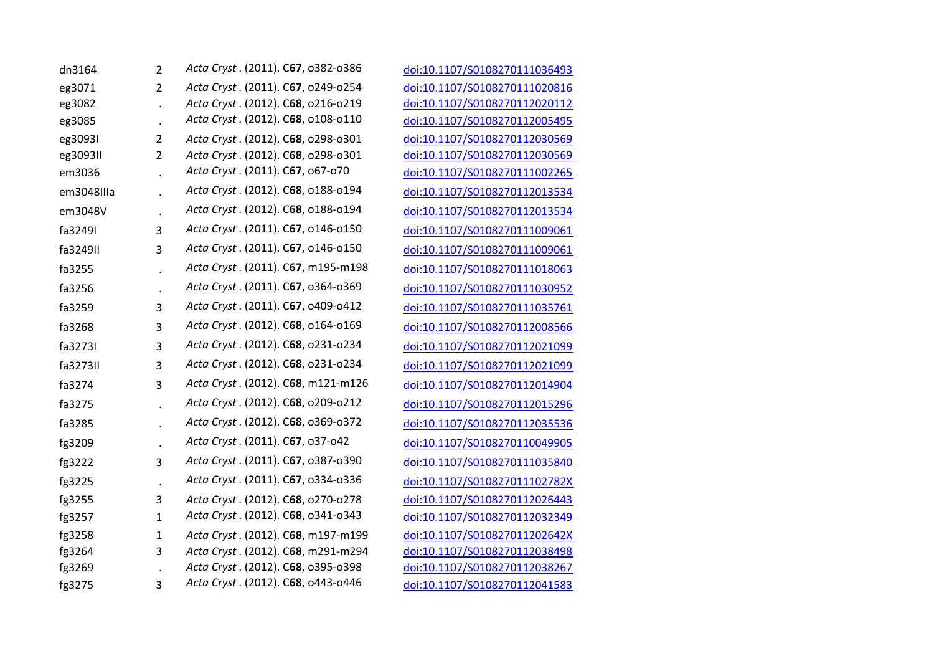| dn3164     | 2       | Acta Cryst. (2011). C67, 0382-0386 |
|------------|---------|------------------------------------|
| eg3071     | 2       | Acta Cryst. (2011). C67, o249-o254 |
| eg3082     |         | Acta Cryst. (2012). C68, o216-o219 |
| eg3085     |         | Acta Cryst. (2012). C68, o108-o110 |
| eg30931    | 2       | Acta Cryst. (2012). C68, 0298-0301 |
| eg3093II   | 2       | Acta Cryst. (2012). C68, 0298-0301 |
| em3036     |         | Acta Cryst. (2011). C67, 067-070   |
| em3048IIIa |         | Acta Cryst. (2012). C68, o188-o194 |
| em3048V    |         | Acta Cryst. (2012). C68, o188-o194 |
| fa3249I    | 3       | Acta Cryst. (2011). C67, o146-o150 |
| fa3249II   | 3       | Acta Cryst. (2011). C67, 0146-0150 |
| fa3255     |         | Acta Cryst. (2011). C67, m195-m198 |
| fa3256     | $\cdot$ | Acta Cryst. (2011). C67, 0364-0369 |
| fa3259     | 3       | Acta Cryst. (2011). C67, 0409-0412 |
| fa3268     | 3       | Acta Cryst. (2012). C68, o164-o169 |
| fa3273I    | 3       | Acta Cryst. (2012). C68, o231-o234 |
| fa3273II   | 3       | Acta Cryst. (2012). C68, o231-o234 |
| fa3274     | 3       | Acta Cryst. (2012). C68, m121-m126 |
| fa3275     |         | Acta Cryst. (2012). C68, o209-o212 |
| fa3285     |         | Acta Cryst. (2012). C68, 0369-0372 |
| fg3209     |         | Acta Cryst. (2011). C67, 037-042   |
| fg3222     | 3       | Acta Cryst. (2011). C67, 0387-0390 |
| fg3225     |         | Acta Cryst. (2011). C67, 0334-0336 |
| fg3255     | 3       | Acta Cryst. (2012). C68, o270-o278 |
| fg3257     | 1       | Acta Cryst. (2012). C68, 0341-0343 |
| fg3258     | 1       | Acta Cryst. (2012). C68, m197-m199 |
| fg3264     | 3       | Acta Cryst. (2012). C68, m291-m294 |
| fg3269     |         | Acta Cryst. (2012). C68, 0395-0398 |
| fg3275     | 3       | Acta Cryst. (2012). C68, 0443-0446 |

 *Acta Cryst* . (2011). <sup>C</sup>**67**, o382‐o386 doi:10.1107/S0108270111036493 eg3071 2 *Acta Cryst* . (2011). C**67**, o249‐o254 doi:10.1107/S0108270111020816 eg3082 . *Acta Cryst* . (2012). C**68**, o216‐o219 doi:10.1107/S0108270112020112 eg3085 . *Acta Cryst* . (2012). <sup>C</sup>**68**, o108‐o110 doi:10.1107/S0108270112005495 eg3093I 2 *Acta Cryst* . (2012). C**68**, o298‐o301 doi:10.1107/S0108270112030569 eg3093II 2 *Acta Cryst* . (2012). C**68**, o298‐o301 doi:10.1107/S0108270112030569 . *Acta Cryst* . (2011). <sup>C</sup>**67**, o67‐o70 doi:10.1107/S0108270111002265 . *Acta Cryst* . (2012). <sup>C</sup>**68**, o188‐o194 doi:10.1107/S0108270112013534 . *Acta Cryst* . (2012). <sup>C</sup>**68**, o188‐o194 doi:10.1107/S0108270112013534 *Acta Cryst* . (2011). <sup>C</sup>**67**, o146‐o150 doi:10.1107/S0108270111009061 *Acta Cryst* . (2011). <sup>C</sup>**67**, o146‐o150 doi:10.1107/S0108270111009061 . *Acta Cryst* . (2011). <sup>C</sup>**67**, m195‐m198 doi:10.1107/S0108270111018063 . *Acta Cryst* . (2011). <sup>C</sup>**67**, o364‐o369 doi:10.1107/S0108270111030952 *Acta Cryst* . (2011). <sup>C</sup>**67**, o409‐o412 doi:10.1107/S0108270111035761 *Acta Cryst* . (2012). <sup>C</sup>**68**, o164‐o169 doi:10.1107/S0108270112008566 *Acta Cryst* . (2012). <sup>C</sup>**68**, o231‐o234 doi:10.1107/S0108270112021099 *Acta Cryst* . (2012). <sup>C</sup>**68**, o231‐o234 doi:10.1107/S0108270112021099 *Acta Cryst* . (2012). <sup>C</sup>**68**, m121‐m126 doi:10.1107/S0108270112014904 . *Acta Cryst* . (2012). <sup>C</sup>**68**, o209‐o212 doi:10.1107/S0108270112015296 . *Acta Cryst* . (2012). <sup>C</sup>**68**, o369‐o372 doi:10.1107/S0108270112035536 fg3209 . *Acta Cryst* . (2011). <sup>C</sup>**67**, o37‐o42 doi:10.1107/S0108270110049905 fg3222 <sup>3</sup> *Acta Cryst* . (2011). <sup>C</sup>**67**, o387‐o390 doi:10.1107/S0108270111035840 fg3225 . *Acta Cryst* . (2011). <sup>C</sup>**67**, o334‐o336 doi:10.1107/S010827011102782X fg3255 3 *Acta Cryst* . (2012). C**68**, o270‐o278 doi:10.1107/S0108270112026443 fg3257 <sup>1</sup> *Acta Cryst* . (2012). <sup>C</sup>**68**, o341‐o343 doi:10.1107/S0108270112032349 fg3258 1 *Acta Cryst* . (2012). C**68**, m197‐m199 doi:10.1107/S010827011202642X fg3264 3 *Acta Cryst* . (2012). C**68**, m291‐m294 doi:10.1107/S0108270112038498 fg3269 . *Acta Cryst* . (2012). C**68**, o395‐o398 doi:10.1107/S0108270112038267 fg3275 <sup>3</sup> *Acta Cryst* . (2012). <sup>C</sup>**68**, o443‐o446 doi:10.1107/S0108270112041583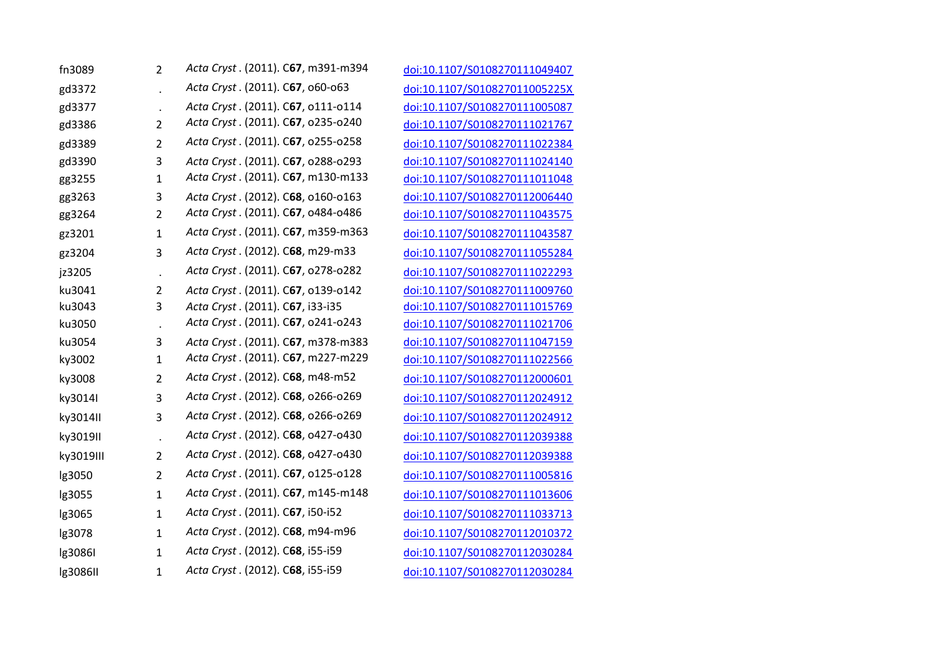| fn3089    | 2                    | Acta Cryst. (2011). C67, m391-m394 |
|-----------|----------------------|------------------------------------|
| gd3372    |                      | Acta Cryst. (2011). C67, 060-063   |
| gd3377    |                      | Acta Cryst. (2011). C67, 0111-0114 |
| gd3386    | 2                    | Acta Cryst. (2011). C67, o235-o240 |
| gd3389    | 2                    | Acta Cryst. (2011). C67, o255-o258 |
| gd3390    | 3                    | Acta Cryst. (2011). C67, o288-o293 |
| gg3255    | $\mathbf{1}$         | Acta Cryst. (2011). C67, m130-m133 |
| gg3263    | 3                    | Acta Cryst. (2012). C68, o160-o163 |
| gg3264    | 2                    | Acta Cryst. (2011). C67, 0484-0486 |
| gz3201    | $\mathbf{1}$         | Acta Cryst. (2011). C67, m359-m363 |
| gz3204    | 3                    | Acta Cryst. (2012). C68, m29-m33   |
| jz3205    | $\cdot$              | Acta Cryst. (2011). C67, o278-o282 |
| ku3041    | 2                    | Acta Cryst. (2011). C67, 0139-0142 |
| ku3043    | 3                    | Acta Cryst. (2011). C67, i33-i35   |
| ku3050    | $\blacksquare$       | Acta Cryst. (2011). C67, o241-o243 |
| ku3054    | 3                    | Acta Cryst. (2011). C67, m378-m383 |
| ky3002    | 1                    | Acta Cryst. (2011). C67, m227-m229 |
| ky3008    | 2                    | Acta Cryst. (2012). C68, m48-m52   |
| ky3014I   | 3                    | Acta Cryst. (2012). C68, o266-o269 |
| ky3014II  | 3                    | Acta Cryst. (2012). C68, o266-o269 |
| ky3019II  | $\ddot{\phantom{a}}$ | Acta Cryst. (2012). C68, 0427-0430 |
| ky3019III | $\overline{2}$       | Acta Cryst. (2012). C68, 0427-0430 |
| lg3050    | 2                    | Acta Cryst. (2011). C67, 0125-0128 |
| lg3055    | $\mathbf{1}$         | Acta Cryst. (2011). C67, m145-m148 |
| lg3065    | 1                    | Acta Cryst. (2011). C67, i50-i52   |
| lg3078    | $\mathbf{1}$         | Acta Cryst. (2012). C68, m94-m96   |
| lg3086I   | $\mathbf{1}$         | Acta Cryst. (2012). C68, i55-i59   |
| Ig3086II  | $\mathbf{1}$         | Acta Cryst. (2012). C68, i55-i59   |

 *Acta Cryst* . (2011). <sup>C</sup>**67**, m391‐m394 doi:10.1107/S0108270111049407 gd3372 . *Acta Cryst* . (2011). <sup>C</sup>**67**, o60‐o63 doi:10.1107/S010827011005225X gd3377 . *Acta Cryst* . (2011). C**67**, o111‐o114 doi:10.1107/S0108270111005087 gd3386 <sup>2</sup> *Acta Cryst* . (2011). <sup>C</sup>**67**, o235‐o240 doi:10.1107/S0108270111021767 gd3389 <sup>2</sup> *Acta Cryst* . (2011). <sup>C</sup>**67**, o255‐o258 doi:10.1107/S0108270111022384 gd3390 3 *Acta Cryst* . (2011). C**67**, o288‐o293 doi:10.1107/S0108270111024140 gg3255 <sup>1</sup> *Acta Cryst* . (2011). <sup>C</sup>**67**, m130‐m133 doi:10.1107/S0108270111011048 gg3263 3 *Acta Cryst* . (2012). C**68**, o160‐o163 doi:10.1107/S0108270112006440 gg3264 <sup>2</sup> *Acta Cryst* . (2011). <sup>C</sup>**67**, o484‐o486 doi:10.1107/S0108270111043575 gz3201 <sup>1</sup> *Acta Cryst* . (2011). <sup>C</sup>**67**, m359‐m363 doi:10.1107/S0108270111043587 gz3204 <sup>3</sup> *Acta Cryst* . (2012). <sup>C</sup>**68**, m29‐m33 doi:10.1107/S0108270111055284 jz3205 . *Acta Cryst* . (2011). <sup>C</sup>**67**, o278‐o282 doi:10.1107/S0108270111022293 *Acta Cryst* . (2011). C**67**, o139‐o142 doi:10.1107/S0108270111009760 *Acta Cryst* . (2011). C**67**, i33‐i35 doi:10.1107/S0108270111015769 . *Acta Cryst* . (2011). <sup>C</sup>**67**, o241‐o243 doi:10.1107/S0108270111021706 *Acta Cryst* . (2011). C**67**, m378‐m383 doi:10.1107/S0108270111047159 ky3002 <sup>1</sup> *Acta Cryst* . (2011). <sup>C</sup>**67**, m227‐m229 doi:10.1107/S0108270111022566 ky3008 <sup>2</sup> *Acta Cryst* . (2012). <sup>C</sup>**68**, m48‐m52 doi:10.1107/S0108270112000601 ky3014I <sup>3</sup> *Acta Cryst* . (2012). <sup>C</sup>**68**, o266‐o269 doi:10.1107/S0108270112024912 ky3014II <sup>3</sup> *Acta Cryst* . (2012). <sup>C</sup>**68**, o266‐o269 doi:10.1107/S0108270112024912 ky3019II . *Acta Cryst* . (2012). <sup>C</sup>**68**, o427‐o430 doi:10.1107/S0108270112039388 ky3019III <sup>2</sup> *Acta Cryst* . (2012). <sup>C</sup>**68**, o427‐o430 doi:10.1107/S0108270112039388 lg3050 <sup>2</sup> *Acta Cryst* . (2011). <sup>C</sup>**67**, o125‐o128 doi:10.1107/S0108270111005816 lg3055 <sup>1</sup> *Acta Cryst* . (2011). <sup>C</sup>**67**, m145‐m148 doi:10.1107/S0108270111013606 lg3065 <sup>1</sup> *Acta Cryst* . (2011). <sup>C</sup>**67**, i50‐i52 doi:10.1107/S0108270111033713 lg3078 <sup>1</sup> *Acta Cryst* . (2012). <sup>C</sup>**68**, m94‐m96 doi:10.1107/S0108270112010372 lg3086I <sup>1</sup> *Acta Cryst* . (2012). <sup>C</sup>**68**, i55‐i59 doi:10.1107/S0108270112030284 lg3086II <sup>1</sup> *Acta Cryst* . (2012). <sup>C</sup>**68**, i55‐i59 doi:10.1107/S0108270112030284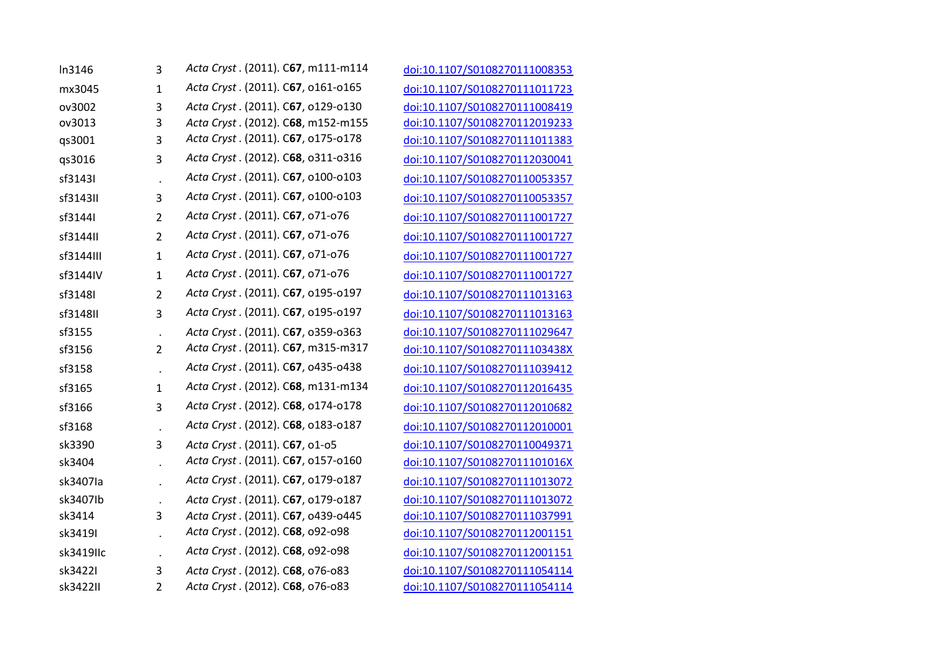| In3146    | 3              | Acta Cryst. (2011). C67, m111-m114 |
|-----------|----------------|------------------------------------|
| mx3045    | $\mathbf{1}$   | Acta Cryst. (2011). C67, o161-o165 |
| ov3002    | 3              | Acta Cryst. (2011). C67, 0129-0130 |
| ov3013    | 3              | Acta Cryst. (2012). C68, m152-m155 |
| qs3001    | 3              | Acta Cryst. (2011). C67, o175-o178 |
| qs3016    | 3              | Acta Cryst. (2012). C68, o311-o316 |
| sf3143I   | $\cdot$        | Acta Cryst. (2011). C67, o100-o103 |
| sf3143II  | 3              | Acta Cryst. (2011). C67, o100-o103 |
| sf3144I   | $\overline{2}$ | Acta Cryst. (2011). C67, o71-o76   |
| sf3144II  | $\overline{2}$ | Acta Cryst. (2011). C67, o71-o76   |
| sf3144III | $\mathbf{1}$   | Acta Cryst. (2011). C67, o71-o76   |
| sf3144IV  | 1              | Acta Cryst. (2011). C67, o71-o76   |
| sf3148I   | $\overline{2}$ | Acta Cryst. (2011). C67, 0195-0197 |
| sf3148II  | 3              | Acta Cryst. (2011). C67, 0195-0197 |
| sf3155    | $\blacksquare$ | Acta Cryst. (2011). C67, 0359-0363 |
| sf3156    | $\overline{2}$ | Acta Cryst. (2011). C67, m315-m317 |
| sf3158    | $\blacksquare$ | Acta Cryst. (2011). C67, 0435-0438 |
| sf3165    | $\mathbf{1}$   | Acta Cryst. (2012). C68, m131-m134 |
| sf3166    | 3              | Acta Cryst. (2012). C68, o174-o178 |
| sf3168    |                | Acta Cryst. (2012). C68, 0183-0187 |
| sk3390    | 3              | Acta Cryst. (2011). C67, 01-05     |
| sk3404    |                | Acta Cryst. (2011). C67, o157-o160 |
| sk3407Ia  |                | Acta Cryst. (2011). C67, o179-o187 |
| sk3407lb  |                | Acta Cryst. (2011). C67, 0179-0187 |
| sk3414    | 3              | Acta Cryst. (2011). C67, 0439-0445 |
| sk3419I   |                | Acta Cryst. (2012). C68, 092-098   |
| sk3419IIc |                | Acta Cryst. (2012). C68, 092-098   |
| sk34221   | 3              | Acta Cryst. (2012). C68, o76-o83   |
| sk3422II  | 2              | Acta Cryst. (2012). C68, o76-o83   |

 *Acta Cryst* . (2011). <sup>C</sup>**67**, m111‐m114 doi:10.1107/S0108270111008353 *Acta Cryst* . (2011). <sup>C</sup>**67**, o161‐o165 doi:10.1107/S0108270111011723 *Acta Cryst* . (2011). C**67**, o129‐o130 doi:10.1107/S0108270111008419 *Acta Cryst* . (2012). C**68**, m152‐m155 doi:10.1107/S0108270112019233 qs3001 <sup>3</sup> *Acta Cryst* . (2011). <sup>C</sup>**67**, o175‐o178 doi:10.1107/S0108270111011383 qs3016 <sup>3</sup> *Acta Cryst* . (2012). <sup>C</sup>**68**, o311‐o316 doi:10.1107/S0108270112030041 . *Acta Cryst* . (2011). <sup>C</sup>**67**, o100‐o103 doi:10.1107/S0108270110053357 *Acta Cryst* . (2011). <sup>C</sup>**67**, o100‐o103 doi:10.1107/S0108270110053357 *Acta Cryst* . (2011). <sup>C</sup>**67**, o71‐o76 doi:10.1107/S0108270111001727 *Acta Cryst* . (2011). <sup>C</sup>**67**, o71‐o76 doi:10.1107/S0108270111001727 *Acta Cryst* . (2011). <sup>C</sup>**67**, o71‐o76 doi:10.1107/S0108270111001727 *Acta Cryst* . (2011). <sup>C</sup>**67**, o71‐o76 doi:10.1107/S0108270111001727 *Acta Cryst* . (2011). <sup>C</sup>**67**, o195‐o197 doi:10.1107/S0108270111013163 *Acta Cryst* . (2011). <sup>C</sup>**67**, o195‐o197 doi:10.1107/S0108270111013163 . *Acta Cryst* . (2011). C**67**, o359‐o363 doi:10.1107/S0108270111029647 *Acta Cryst* . (2011). <sup>C</sup>**67**, m315‐m317 doi:10.1107/S010827011103438X . *Acta Cryst* . (2011). <sup>C</sup>**67**, o435‐o438 doi:10.1107/S0108270111039412 *Acta Cryst* . (2012). <sup>C</sup>**68**, m131‐m134 doi:10.1107/S0108270112016435 *Acta Cryst* . (2012). <sup>C</sup>**68**, o174‐o178 doi:10.1107/S0108270112010682 . *Acta Cryst* . (2012). <sup>C</sup>**68**, o183‐o187 doi:10.1107/S0108270112010001 *Acta Cryst* . (2011). C**67**, o1‐o5 doi:10.1107/S0108270110049371 . *Acta Cryst* . (2011). <sup>C</sup>**67**, o157‐o160 doi:10.1107/S010827011101016X . *Acta Cryst* . (2011). <sup>C</sup>**67**, o179‐o187 doi:10.1107/S0108270111013072 . *Acta Cryst* . (2011). C**67**, o179‐o187 doi:10.1107/S0108270111013072 *Acta Cryst* . (2011). C**67**, o439‐o445 doi:10.1107/S0108270111037991 . *Acta Cryst* . (2012). <sup>C</sup>**68**, o92‐o98 doi:10.1107/S0108270112001151 . *Acta Cryst* . (2012). <sup>C</sup>**68**, o92‐o98 doi:10.1107/S0108270112001151 *Acta Cryst* . (2012). C**68**, o76‐o83 doi:10.1107/S0108270111054114 *Acta Cryst* . (2012). C**68**, o76‐o83 doi:10.1107/S0108270111054114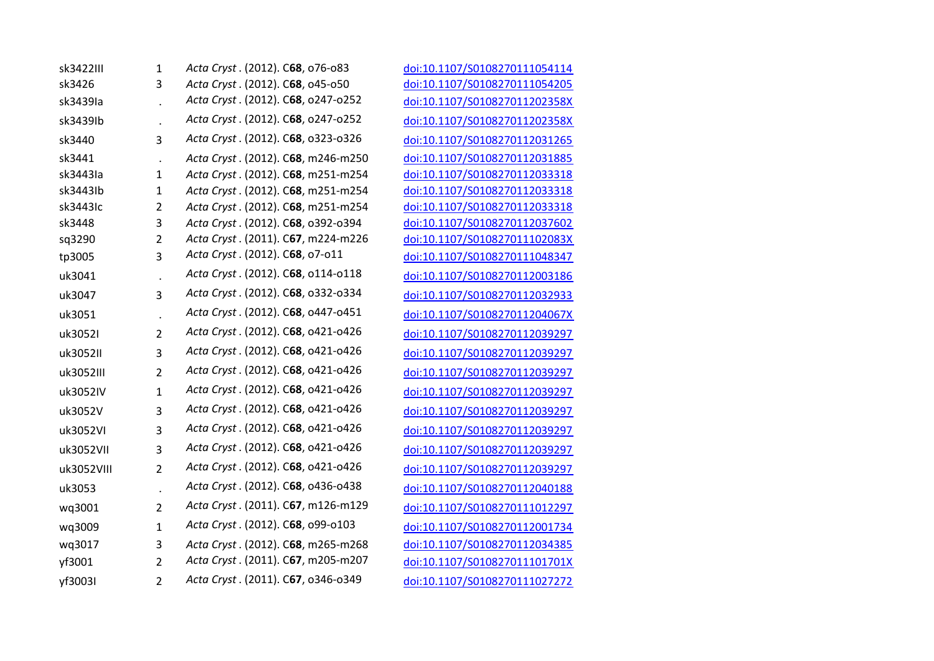| sk3422III  | $\mathbf{1}$   | Acta Cryst. (2012). C68, o76-o83   |
|------------|----------------|------------------------------------|
| sk3426     | 3              | Acta Cryst. (2012). C68, 045-050   |
| sk3439Ia   |                | Acta Cryst. (2012). C68, o247-o252 |
| sk3439lb   |                | Acta Cryst. (2012). C68, o247-o252 |
| sk3440     | 3              | Acta Cryst. (2012). C68, 0323-0326 |
| sk3441     |                | Acta Cryst. (2012). C68, m246-m250 |
| sk3443Ia   | 1              | Acta Cryst. (2012). C68, m251-m254 |
| sk3443lb   | 1              | Acta Cryst. (2012). C68, m251-m254 |
| sk3443Ic   | 2              | Acta Cryst. (2012). C68, m251-m254 |
| sk3448     | 3              | Acta Cryst. (2012). C68, 0392-0394 |
| sq3290     | 2              | Acta Cryst. (2011). C67, m224-m226 |
| tp3005     | 3              | Acta Cryst. (2012). C68, o7-o11    |
| uk3041     |                | Acta Cryst. (2012). C68, o114-o118 |
| uk3047     | 3              | Acta Cryst. (2012). C68, 0332-0334 |
| uk3051     | $\cdot$        | Acta Cryst. (2012). C68, 0447-0451 |
| uk3052I    | $\overline{2}$ | Acta Cryst. (2012). C68, 0421-0426 |
| uk3052II   | 3              | Acta Cryst. (2012). C68, 0421-0426 |
| uk3052III  | $\overline{2}$ | Acta Cryst. (2012). C68, 0421-0426 |
| uk3052IV   | $\mathbf{1}$   | Acta Cryst. (2012). C68, 0421-0426 |
| uk3052V    | 3              | Acta Cryst. (2012). C68, 0421-0426 |
| uk3052VI   | 3              | Acta Cryst. (2012). C68, 0421-0426 |
| uk3052VII  | 3              | Acta Cryst. (2012). C68, 0421-0426 |
| uk3052VIII | $\overline{2}$ | Acta Cryst. (2012). C68, 0421-0426 |
| uk3053     | $\cdot$        | Acta Cryst. (2012). C68, 0436-0438 |
| wq3001     | 2              | Acta Cryst. (2011). C67, m126-m129 |
| wq3009     | $\mathbf{1}$   | Acta Cryst. (2012). C68, 099-0103  |
| wq3017     | 3              | Acta Cryst. (2012). C68, m265-m268 |
| yf3001     | 2              | Acta Cryst. (2011). C67, m205-m207 |
| yf3003I    | $\overline{2}$ | Acta Cryst. (2011). C67, 0346-0349 |

 *Acta Cryst* . (2012). C**68**, o76‐o83 doi:10.1107/S0108270111054114 *Acta Cryst* . (2012). C**68**, o45‐o50 doi:10.1107/S0108270111054205 . *Acta Cryst* . (2012). <sup>C</sup>**68**, o247‐o252 doi:10.1107/S010827011202358X . *Acta Cryst* . (2012). <sup>C</sup>**68**, o247‐o252 doi:10.1107/S010827011202358X *Acta Cryst* . (2012). <sup>C</sup>**68**, o323‐o326 doi:10.1107/S0108270112031265 . *Acta Cryst* . (2012). C**68**, m246‐m250 doi:10.1107/S0108270112031885 *Acta Cryst* . (2012). C**68**, m251‐m254 doi:10.1107/S0108270112033318 *Acta Cryst* . (2012). C**68**, m251‐m254 doi:10.1107/S0108270112033318 *Acta Cryst* . (2012). C**68**, m251‐m254 doi:10.1107/S0108270112033318 *Acta Cryst* . (2012). C**68**, o392‐o394 doi:10.1107/S0108270112037602 sq3290 2 *Acta Cryst* . (2011). C**67**, m224‐m226 doi:10.1107/S010827011102083X tp3005 <sup>3</sup> *Acta Cryst* . (2012). <sup>C</sup>**68**, o7‐o11 doi:10.1107/S0108270111048347 . *Acta Cryst* . (2012). <sup>C</sup>**68**, o114‐o118 doi:10.1107/S0108270112003186 *Acta Cryst* . (2012). <sup>C</sup>**68**, o332‐o334 doi:10.1107/S0108270112032933 . *Acta Cryst* . (2012). <sup>C</sup>**68**, o447‐o451 doi:10.1107/S010827011204067X *Acta Cryst* . (2012). <sup>C</sup>**68**, o421‐o426 doi:10.1107/S0108270112039297 *Acta Cryst* . (2012). <sup>C</sup>**68**, o421‐o426 doi:10.1107/S0108270112039297 *Acta Cryst* . (2012). <sup>C</sup>**68**, o421‐o426 doi:10.1107/S0108270112039297 *Acta Cryst* . (2012). <sup>C</sup>**68**, o421‐o426 doi:10.1107/S0108270112039297 *Acta Cryst* . (2012). <sup>C</sup>**68**, o421‐o426 doi:10.1107/S0108270112039297 *Acta Cryst* . (2012). <sup>C</sup>**68**, o421‐o426 doi:10.1107/S0108270112039297 *Acta Cryst* . (2012). <sup>C</sup>**68**, o421‐o426 doi:10.1107/S0108270112039297 *Acta Cryst* . (2012). <sup>C</sup>**68**, o421‐o426 doi:10.1107/S0108270112039297 . *Acta Cryst* . (2012). <sup>C</sup>**68**, o436‐o438 doi:10.1107/S0108270112040188 wq3001 <sup>2</sup> *Acta Cryst* . (2011). <sup>C</sup>**67**, m126‐m129 doi:10.1107/S0108270111012297 wq3009 <sup>1</sup> *Acta Cryst* . (2012). <sup>C</sup>**68**, o99‐o103 doi:10.1107/S0108270112001734 wq3017 3 *Acta Cryst* . (2012). C**68**, m265‐m268 doi:10.1107/S0108270112034385 yf3001 <sup>2</sup> *Acta Cryst* . (2011). <sup>C</sup>**67**, m205‐m207 doi:10.1107/S010827011101701X yf3003I <sup>2</sup> *Acta Cryst* . (2011). <sup>C</sup>**67**, o346‐o349 doi:10.1107/S0108270111027272